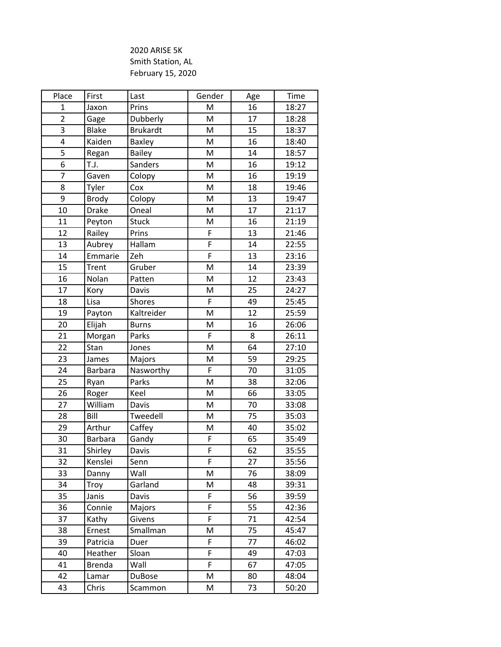## 2020 ARISE 5K Smith Station, AL February 15, 2020

| Place                   | First          | Last            | Gender | Age | Time  |
|-------------------------|----------------|-----------------|--------|-----|-------|
| $\mathbf{1}$            | Jaxon          | Prins           | M      | 16  | 18:27 |
| $\overline{2}$          | Gage           | Dubberly        | M      | 17  | 18:28 |
| 3                       | <b>Blake</b>   | <b>Brukardt</b> | M      | 15  | 18:37 |
| $\overline{\mathbf{4}}$ | Kaiden         | Baxley          | M      | 16  | 18:40 |
| $\overline{5}$          | Regan          | <b>Bailey</b>   | M      | 14  | 18:57 |
| $\overline{6}$          | T.J.           | Sanders         | M      | 16  | 19:12 |
| $\overline{7}$          | Gaven          | Colopy          | M      | 16  | 19:19 |
| 8                       | Tyler          | Cox             | M      | 18  | 19:46 |
| 9                       | Brody          | Colopy          | M      | 13  | 19:47 |
| 10                      | <b>Drake</b>   | Oneal           | M      | 17  | 21:17 |
| 11                      | Peyton         | <b>Stuck</b>    | M      | 16  | 21:19 |
| 12                      | Railey         | Prins           | F      | 13  | 21:46 |
| 13                      | Aubrey         | Hallam          | F      | 14  | 22:55 |
| 14                      | Emmarie        | Zeh             | F      | 13  | 23:16 |
| 15                      | Trent          | Gruber          | M      | 14  | 23:39 |
| 16                      | Nolan          | Patten          | M      | 12  | 23:43 |
| 17                      | Kory           | Davis           | M      | 25  | 24:27 |
| 18                      | Lisa           | Shores          | F      | 49  | 25:45 |
| 19                      | Payton         | Kaltreider      | M      | 12  | 25:59 |
| 20                      | Elijah         | <b>Burns</b>    | M      | 16  | 26:06 |
| 21                      | Morgan         | Parks           | F      | 8   | 26:11 |
| 22                      | Stan           | Jones           | M      | 64  | 27:10 |
| 23                      | James          | Majors          | M      | 59  | 29:25 |
| 24                      | <b>Barbara</b> | Nasworthy       | F      | 70  | 31:05 |
| 25                      | Ryan           | Parks           | M      | 38  | 32:06 |
| 26                      | Roger          | Keel            | M      | 66  | 33:05 |
| 27                      | William        | Davis           | M      | 70  | 33:08 |
| 28                      | Bill           | Tweedell        | M      | 75  | 35:03 |
| 29                      | Arthur         | Caffey          | M      | 40  | 35:02 |
| 30                      | Barbara        | Gandy           | F      | 65  | 35:49 |
| 31                      | Shirley        | Davis           | F      | 62  | 35:55 |
| 32                      | Kenslei        | Senn            | F      | 27  | 35:56 |
| 33                      | Danny          | Wall            | M      | 76  | 38:09 |
| 34                      | Troy           | Garland         | M      | 48  | 39:31 |
| 35                      | Janis          | Davis           | F      | 56  | 39:59 |
| 36                      | Connie         | Majors          | F      | 55  | 42:36 |
| 37                      | Kathy          | Givens          | F      | 71  | 42:54 |
| 38                      | Ernest         | Smallman        | M      | 75  | 45:47 |
| 39                      | Patricia       | Duer            | F      | 77  | 46:02 |
| 40                      | Heather        | Sloan           | F      | 49  | 47:03 |
| 41                      | <b>Brenda</b>  | Wall            | F      | 67  | 47:05 |
| 42                      | Lamar          | <b>DuBose</b>   | M      | 80  | 48:04 |
| 43                      | Chris          | Scammon         | M      | 73  | 50:20 |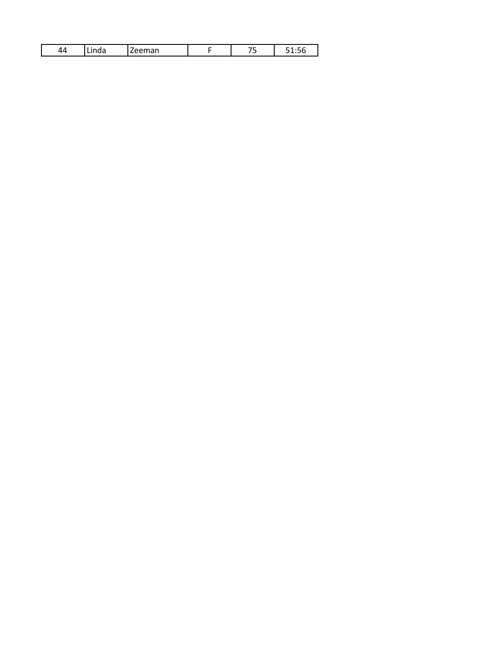| . . | -<br>. . | - - | .<br>. . |
|-----|----------|-----|----------|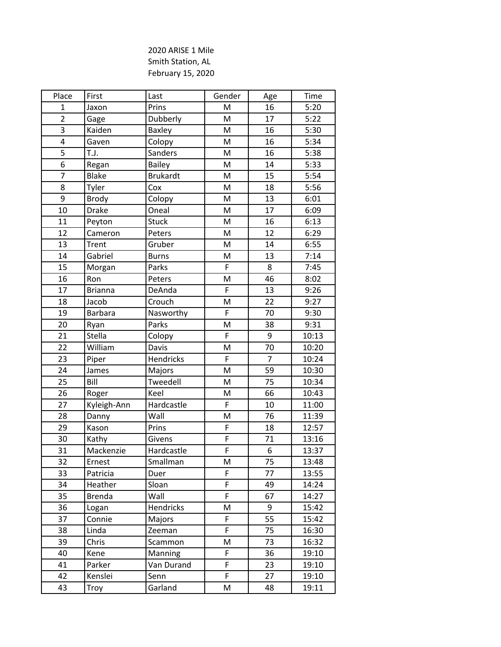## 2020 ARISE 1 Mile Smith Station, AL February 15, 2020

| Place           | First          | Last            | Gender         | Age            | Time  |
|-----------------|----------------|-----------------|----------------|----------------|-------|
| $\mathbf{1}$    | Jaxon          | Prins           | M              | 16             | 5:20  |
| $\overline{2}$  | Gage           | Dubberly        | M              | 17             | 5:22  |
| 3               | Kaiden         | Baxley          | M              | 16             | 5:30  |
| 4               | Gaven          | Colopy          | M              | 16             | 5:34  |
| $\overline{5}$  | T.J.           | Sanders         | M              | 16             | 5:38  |
| 6               | Regan          | Bailey          | M              | 14             | 5:33  |
| $\overline{7}$  | <b>Blake</b>   | <b>Brukardt</b> | M              | 15             | 5:54  |
| 8               | Tyler          | Cox             | M              | 18             | 5:56  |
| 9               | <b>Brody</b>   | Colopy          | M              | 13             | 6:01  |
| 10              | <b>Drake</b>   | Oneal           | M              | 17             | 6:09  |
| 11              | Peyton         | Stuck           | M              | 16             | 6:13  |
| 12              | Cameron        | Peters          | M              | 12             | 6:29  |
| 13              | <b>Trent</b>   | Gruber          | M              | 14             | 6:55  |
| 14              | Gabriel        | <b>Burns</b>    | M              | 13             | 7:14  |
| 15              | Morgan         | Parks           | F              | 8              | 7:45  |
| 16              | Ron            | Peters          | M              | 46             | 8:02  |
| $\overline{17}$ | <b>Brianna</b> | DeAnda          | $\overline{F}$ | 13             | 9:26  |
| 18              | Jacob          | Crouch          | M              | 22             | 9:27  |
| 19              | <b>Barbara</b> | Nasworthy       | F              | 70             | 9:30  |
| 20              | Ryan           | Parks           | M              | 38             | 9:31  |
| 21              | Stella         | Colopy          | F              | 9              | 10:13 |
| 22              | William        | Davis           | M              | 70             | 10:20 |
| 23              | Piper          | Hendricks       | $\overline{F}$ | $\overline{7}$ | 10:24 |
| 24              | James          | Majors          | M              | 59             | 10:30 |
| 25              | Bill           | Tweedell        | M              | 75             | 10:34 |
| 26              | Roger          | Keel            | M              | 66             | 10:43 |
| 27              | Kyleigh-Ann    | Hardcastle      | F              | 10             | 11:00 |
| 28              | Danny          | Wall            | M              | 76             | 11:39 |
| 29              | Kason          | Prins           | F              | 18             | 12:57 |
| 30              | Kathy          | Givens          | $\overline{F}$ | 71             | 13:16 |
| 31              | Mackenzie      | Hardcastle      | F              | 6              | 13:37 |
| 32              | Ernest         | Smallman        | M              | 75             | 13:48 |
| 33              | Patricia       | Duer            | F              | 77             | 13:55 |
| 34              | Heather        | Sloan           | F              | 49             | 14:24 |
| 35              | <b>Brenda</b>  | Wall            | F              | 67             | 14:27 |
| 36              | Logan          | Hendricks       | M              | 9              | 15:42 |
| 37              | Connie         | Majors          | F              | 55             | 15:42 |
| 38              | Linda          | Zeeman          | F              | 75             | 16:30 |
| 39              | Chris          | Scammon         | M              | 73             | 16:32 |
| 40              | Kene           | <b>Manning</b>  | F              | 36             | 19:10 |
| 41              | Parker         | Van Durand      | F              | 23             | 19:10 |
| 42              | Kenslei        | Senn            | F              | 27             | 19:10 |
| 43              | Troy           | Garland         | M              | 48             | 19:11 |